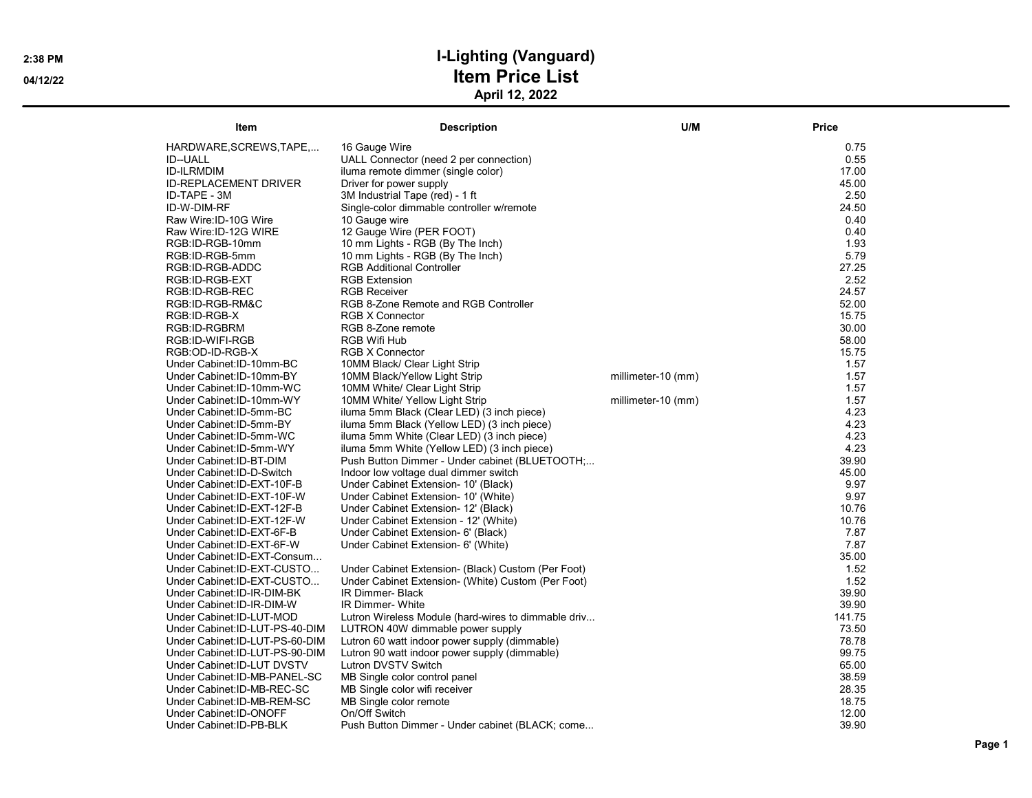## 2:38 PM **I-Lighting (Vanguard)** 04/12/22 **Item Price List** April 12, 2022

| Item                            | <b>Description</b>                                  | U/M                | Price  |
|---------------------------------|-----------------------------------------------------|--------------------|--------|
| HARDWARE, SCREWS, TAPE          | 16 Gauge Wire                                       |                    | 0.75   |
| <b>ID--UALL</b>                 | UALL Connector (need 2 per connection)              |                    | 0.55   |
| <b>ID-ILRMDIM</b>               | iluma remote dimmer (single color)                  |                    | 17.00  |
| <b>ID-REPLACEMENT DRIVER</b>    | Driver for power supply                             |                    | 45.00  |
| ID-TAPE - 3M                    | 3M Industrial Tape (red) - 1 ft                     |                    | 2.50   |
| ID-W-DIM-RF                     | Single-color dimmable controller w/remote           |                    | 24.50  |
| Raw Wire: ID-10G Wire           | 10 Gauge wire                                       |                    | 0.40   |
| Raw Wire: ID-12G WIRE           | 12 Gauge Wire (PER FOOT)                            |                    | 0.40   |
| RGB:ID-RGB-10mm                 | 10 mm Lights - RGB (By The Inch)                    |                    | 1.93   |
| RGB:ID-RGB-5mm                  | 10 mm Lights - RGB (By The Inch)                    |                    | 5.79   |
| RGB:ID-RGB-ADDC                 | <b>RGB Additional Controller</b>                    |                    | 27.25  |
| RGB:ID-RGB-EXT                  | <b>RGB Extension</b>                                |                    | 2.52   |
| RGB:ID-RGB-REC                  | <b>RGB Receiver</b>                                 |                    | 24.57  |
| RGB:ID-RGB-RM&C                 | RGB 8-Zone Remote and RGB Controller                |                    | 52.00  |
| RGB:ID-RGB-X                    | <b>RGB X Connector</b>                              |                    | 15.75  |
| RGB:ID-RGBRM                    | RGB 8-Zone remote                                   |                    | 30.00  |
| RGB:ID-WIFI-RGB                 | <b>RGB Wifi Hub</b>                                 |                    | 58.00  |
| RGB:OD-ID-RGB-X                 | <b>RGB X Connector</b>                              |                    | 15.75  |
| Under Cabinet: ID-10mm-BC       | 10MM Black/ Clear Light Strip                       |                    | 1.57   |
| Under Cabinet: ID-10mm-BY       | 10MM Black/Yellow Light Strip                       | millimeter-10 (mm) | 1.57   |
| Under Cabinet: ID-10mm-WC       | 10MM White/ Clear Light Strip                       |                    | 1.57   |
| Under Cabinet: ID-10mm-WY       | 10MM White/ Yellow Light Strip                      | millimeter-10 (mm) | 1.57   |
| Under Cabinet: ID-5mm-BC        | iluma 5mm Black (Clear LED) (3 inch piece)          |                    | 4.23   |
| Under Cabinet: ID-5mm-BY        | iluma 5mm Black (Yellow LED) (3 inch piece)         |                    | 4.23   |
| Under Cabinet: ID-5mm-WC        | iluma 5mm White (Clear LED) (3 inch piece)          |                    | 4.23   |
| Under Cabinet: ID-5mm-WY        | iluma 5mm White (Yellow LED) (3 inch piece)         |                    | 4.23   |
| Under Cabinet: ID-BT-DIM        | Push Button Dimmer - Under cabinet (BLUETOOTH;      |                    | 39.90  |
| Under Cabinet: ID-D-Switch      | Indoor low voltage dual dimmer switch               |                    | 45.00  |
| Under Cabinet: ID-EXT-10F-B     | Under Cabinet Extension- 10' (Black)                |                    | 9.97   |
| Under Cabinet: ID-EXT-10F-W     | Under Cabinet Extension- 10' (White)                |                    | 9.97   |
| Under Cabinet: ID-EXT-12F-B     | Under Cabinet Extension- 12' (Black)                |                    | 10.76  |
| Under Cabinet: ID-EXT-12F-W     | Under Cabinet Extension - 12' (White)               |                    | 10.76  |
| Under Cabinet: ID-EXT-6F-B      | Under Cabinet Extension- 6' (Black)                 |                    | 7.87   |
| Under Cabinet: ID-EXT-6F-W      | Under Cabinet Extension- 6' (White)                 |                    | 7.87   |
| Under Cabinet: ID-EXT-Consum    |                                                     |                    | 35.00  |
| Under Cabinet: ID-EXT-CUSTO     | Under Cabinet Extension- (Black) Custom (Per Foot)  |                    | 1.52   |
| Under Cabinet: ID-EXT-CUSTO     | Under Cabinet Extension- (White) Custom (Per Foot)  |                    | 1.52   |
| Under Cabinet: ID-IR-DIM-BK     | IR Dimmer- Black                                    |                    | 39.90  |
| Under Cabinet: ID-IR-DIM-W      | <b>IR Dimmer- White</b>                             |                    | 39.90  |
| Under Cabinet: ID-LUT-MOD       | Lutron Wireless Module (hard-wires to dimmable driv |                    | 141.75 |
| Under Cabinet: ID-LUT-PS-40-DIM | LUTRON 40W dimmable power supply                    |                    | 73.50  |
| Under Cabinet: ID-LUT-PS-60-DIM | Lutron 60 watt indoor power supply (dimmable)       |                    | 78.78  |
| Under Cabinet: ID-LUT-PS-90-DIM | Lutron 90 watt indoor power supply (dimmable)       |                    | 99.75  |
| Under Cabinet: ID-LUT DVSTV     | Lutron DVSTV Switch                                 |                    | 65.00  |
| Under Cabinet: ID-MB-PANEL-SC   | MB Single color control panel                       |                    | 38.59  |
| Under Cabinet: ID-MB-REC-SC     | MB Single color wifi receiver                       |                    | 28.35  |
| Under Cabinet: ID-MB-REM-SC     | MB Single color remote                              |                    | 18.75  |
| Under Cabinet: ID-ONOFF         | On/Off Switch                                       |                    | 12.00  |
| Under Cabinet: ID-PB-BLK        | Push Button Dimmer - Under cabinet (BLACK; come     |                    | 39.90  |